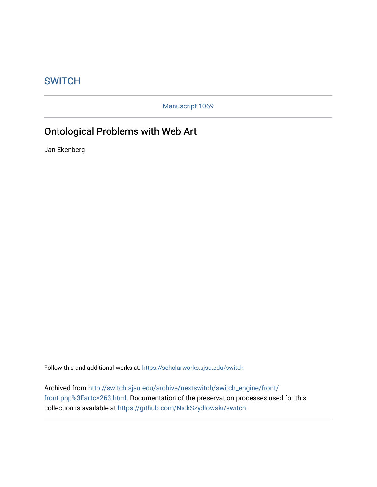## **SWITCH**

Manuscript 1069

## Ontological Problems with Web Art

Jan Ekenberg

Follow this and additional works at: [https://scholarworks.sjsu.edu/switch](https://scholarworks.sjsu.edu/switch?utm_source=scholarworks.sjsu.edu%2Fswitch%2Fvol7%2Fiss1%2F1&utm_medium=PDF&utm_campaign=PDFCoverPages)

Archived from [http://switch.sjsu.edu/archive/nextswitch/switch\\_engine/front/](http://switch.sjsu.edu/archive/nextswitch/switch_engine/front/front.php%3Fartc=263.html) [front.php%3Fartc=263.html.](http://switch.sjsu.edu/archive/nextswitch/switch_engine/front/front.php%3Fartc=263.html) Documentation of the preservation processes used for this collection is available at [https://github.com/NickSzydlowski/switch.](https://github.com/NickSzydlowski/switch)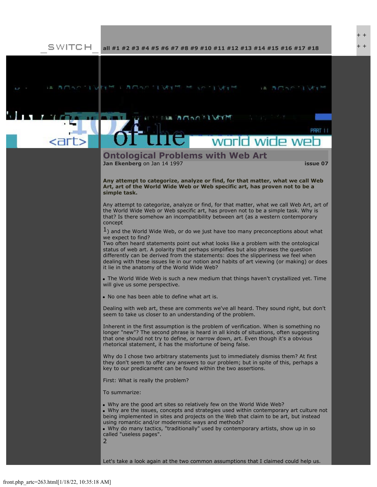$+$ + +

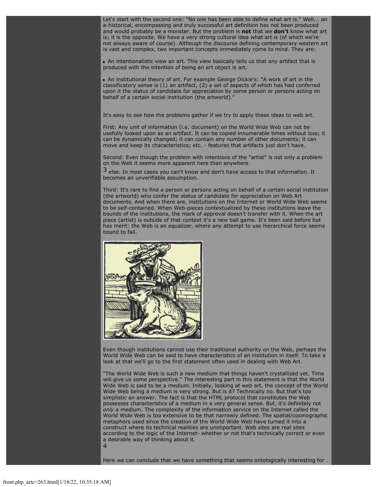Let's start with the second one: "No one has been able to define what art is." Well... an a-historical, encompassing and truly successful art definition has not been produced and would probably be a monster. But the problem is **not** that we **don't** know what art is; it is the opposite. We have a very strong cultural idea what art is (of which we're not always aware of course). Although the discourse defining contemporary western art is vast and complex, two important concepts immediately come to mind. They are:

An intentionalistic view an art. This view basically tells us that any artifact that is produced with the intention of being an art object is art.

An institutional theory of art. For example George Dickie's: "A work of art in the classificatory sense is (1) an artifact, (2) a set of aspects of which has had conferred upon it the status of candidate for appreciation by some person or persons acting on behalf of a certain social institution (the artworld).

It's easy to see how the problems gather if we try to apply these ideas to web art.

First: Any unit of information (i.e. document) on the World Wide Web can not be usefully looked upon as an artifact. It can be copied innumerable times without loss; it can be dynamically changed; it can contain any number of other documents; it can move and keep its characteristics; etc. - features that artifacts just don't have.

Second: Even though the problem with intentions of the "artist" is not only a problem on the Web it seems more apparent here than anywhere

3 else. In most cases you can't know and don't have access to that information. It becomes an unverifiable assumption.

Third: It's rare to find a person or persons acting on behalf of a certain social institution (the artworld) who confer the status of candidate for appreciation on Web Art documents. And when there are, institutions on the Internet or World Wide Web seems to be self-contained. When Web-pieces contextualized by these institutions leave the bounds of the institutions, the mark of approval doesn't transfer with it. When the art piece (artist) is outside of that context it's a new ball game. It's been said before but has merit: the Web is an equalizer, where any attempt to use hierarchical force seems bound to fail.



Even though institutions cannot use their traditional authority on the Web, perhaps the World Wide Web can be said to have characteristics of an institution in itself. To take a look at that we'll go to the first statement often used in dealing with Web Art.

"The World Wide Web is such a new medium that things haven't crystallized yet. Time will give us some perspective." The interesting part in this statement is that the World Wide Web is said to be a *medium*. Initially, looking at web art, the concept of the World Wide Web being a medium is very strong. But is it? Technically no. But that's too simplistic an answer. The fact is that the HTML protocol that constitutes the Web possesses characteristics of a medium in a very general sense. But, it's definitely not *only* a medium. The complexity of the information service on the Internet called the World Wide Web is too extensive to be that narrowly defined. The spatial/cosmographic metaphors used since the creation of the World Wide Web have turned it into a construct where its technical realities are unimportant. Web sites are real sites according to the logic of the Internet- whether or not that's technically correct or even a desirable way of thinking about it. 4

Here we can conclude that we have something that seems ontologically interesting for